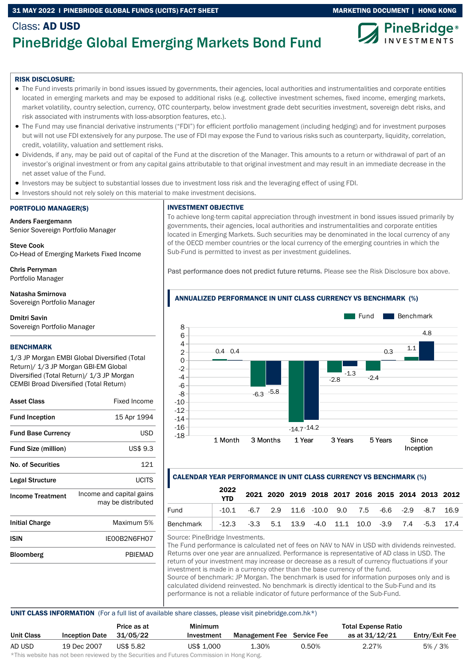# 31 MAY 2022 I PINEBRIDGE GLOBAL FUNDS (UCITS) FACT SHEET MARKETING DOCUMENT | HONG KONG



# Class: AD USD PineBridge Global Emerging Markets Bond Fund

#### RISK DISCLOSURE:

- The Fund invests primarily in bond issues issued by governments, their agencies, local authorities and instrumentalities and corporate entities located in emerging markets and may be exposed to additional risks (e.g. collective investment schemes, fixed income, emerging markets, market volatility, country selection, currency, OTC counterparty, below investment grade debt securities investment, sovereign debt risks, and risk associated with instruments with loss-absorption features, etc.).
- The Fund may use financial derivative instruments ("FDI") for efficient portfolio management (including hedging) and for investment purposes but will not use FDI extensively for any purpose. The use of FDI may expose the Fund to various risks such as counterparty, liquidity, correlation, credit, volatility, valuation and settlement risks.
- Dividends, if any, may be paid out of capital of the Fund at the discretion of the Manager. This amounts to a return or withdrawal of part of an investor's original investment or from any capital gains attributable to that original investment and may result in an immediate decrease in the net asset value of the Fund.
- Investors may be subject to substantial losses due to investment loss risk and the leveraging effect of using FDI.
- Investors should not rely solely on this material to make investment decisions.

#### PORTFOLIO MANAGER(S)

Anders Faergemann Senior Sovereign Portfolio Manager

Steve Cook Co-Head of Emerging Markets Fixed Income

Chris Perryman Portfolio Manager

Natasha Smirnova Sovereign Portfolio Manager

Dmitri Savin Sovereign Portfolio Manager

#### **BENCHMARK**

1/3 JP Morgan EMBI Global Diversified (Total Return)/ 1/3 JP Morgan GBI-EM Global Diversified (Total Return)/ 1/3 JP Morgan CEMBI Broad Diversified (Total Return)

| <b>Asset Class</b>         | Fixed Income                                   |
|----------------------------|------------------------------------------------|
| <b>Fund Inception</b>      | 15 Apr 1994                                    |
| <b>Fund Base Currency</b>  | USD                                            |
| <b>Fund Size (million)</b> | US\$ 9.3                                       |
| <b>No. of Securities</b>   | 121                                            |
| Legal Structure            | <b>UCITS</b>                                   |
| <b>Income Treatment</b>    | Income and capital gains<br>may be distributed |
| <b>Initial Charge</b>      | Maximum 5%                                     |
| ISIN                       | IE00B2N6FH07                                   |

# Bloomberg PBIEMAD

INVESTMENT OBJECTIVE

To achieve long-term capital appreciation through investment in bond issues issued primarily by governments, their agencies, local authorities and instrumentalities and corporate entities located in Emerging Markets. Such securities may be denominated in the local currency of any of the OECD member countries or the local currency of the emerging countries in which the Sub-Fund is permitted to invest as per investment guidelines.

Past performance does not predict future returns. Please see the Risk Disclosure box above.



# CALENDAR YEAR PERFORMANCE IN UNIT CLASS CURRENCY VS BENCHMARK (%)

|                                                                   | 2022                                                              |  |  |  |  | 2021 2020 2019 2018 2017 2016 2015 2014 2013 2012 |
|-------------------------------------------------------------------|-------------------------------------------------------------------|--|--|--|--|---------------------------------------------------|
| Fund                                                              | $-10.1$ $-6.7$ 2.9 11.6 $-10.0$ 9.0 7.5 $-6.6$ $-2.9$ $-8.7$ 16.9 |  |  |  |  |                                                   |
| Benchmark   -12.3 -3.3 5.1 13.9 -4.0 11.1 10.0 -3.9 7.4 -5.3 17.4 |                                                                   |  |  |  |  |                                                   |

Source: PineBridge Investments.

The Fund performance is calculated net of fees on NAV to NAV in USD with dividends reinvested. Returns over one year are annualized. Performance is representative of AD class in USD. The return of your investment may increase or decrease as a result of currency fluctuations if your investment is made in a currency other than the base currency of the fund. Source of benchmark: JP Morgan. The benchmark is used for information purposes only and is calculated dividend reinvested. No benchmark is directly identical to the Sub-Fund and its performance is not a reliable indicator of future performance of the Sub-Fund.

### UNIT CLASS INFORMATION (For a full list of available share classes, please visit pinebridge.com.hk\*)

|            |                       | Price as at | <b>Minimum</b>                                                                                                 |                                   |       | <b>Total Expense Ratio</b> |                |
|------------|-----------------------|-------------|----------------------------------------------------------------------------------------------------------------|-----------------------------------|-------|----------------------------|----------------|
| Unit Class | <b>Inception Date</b> | 31/05/22    | Investment                                                                                                     | <b>Management Fee</b> Service Fee |       | as at 31/12/21             | Entry/Exit Fee |
| AD USD     | 19 Dec 2007           | US\$ 5.82   | US\$ 1,000                                                                                                     | 1.30%                             | 0.50% | 2.27%                      | 5% / 3%        |
|            |                       |             | di∓bio confectivo bele celebracio contecceda bondia e Alexandria e esti Fontacio e Alexandrea funtita de Messo |                                   |       |                            |                |

\*This website has not been reviewed by the Securities and Futures Commission in Hong Kong.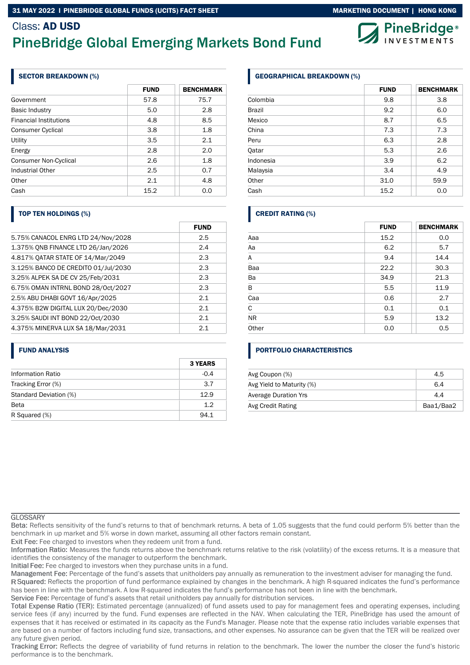### 31 MAY 2022 I PINEBRIDGE GLOBAL FUNDS (UCITS) FACT SHEET MARKETING MARKETING DOCUMENT | HONG KONG

# Class: AD USD PineBridge Global Emerging Markets Bond Fund

# SECTOR BREAKDOWN (%)

|                               | <b>FUND</b> | <b>BENCHMARK</b> |
|-------------------------------|-------------|------------------|
| Government                    | 57.8        | 75.7             |
| <b>Basic Industry</b>         | 5.0         | 2.8              |
| <b>Financial Institutions</b> | 4.8         | 8.5              |
| Consumer Cyclical             | 3.8         | 1.8              |
| Utility                       | 3.5         | 2.1              |
| Energy                        | 2.8         | 2.0              |
| <b>Consumer Non-Cyclical</b>  | 2.6         | 1.8              |
| Industrial Other              | 2.5         | 0.7              |
| Other                         | 2.1         | 4.8              |
| Cash                          | 15.2        | 0.0              |

# TOP TEN HOLDINGS (%)

|                                     | <b>FUND</b> |
|-------------------------------------|-------------|
| 5.75% CANACOL ENRG LTD 24/Nov/2028  | 2.5         |
| 1.375% ONB FINANCE LTD 26/Jan/2026  | 2.4         |
| 4.817% QATAR STATE OF 14/Mar/2049   | 2.3         |
| 3.125% BANCO DE CREDITO 01/Jul/2030 | 2.3         |
| 3.25% ALPEK SA DE CV 25/Feb/2031    | 2.3         |
| 6.75% OMAN INTRNL BOND 28/Oct/2027  | 2.3         |
| 2.5% ABU DHABI GOVT 16/Apr/2025     | 2.1         |
| 4.375% B2W DIGITAL LUX 20/Dec/2030  | 2.1         |
| 3.25% SAUDI INT BOND 22/Oct/2030    | 2.1         |
| 4.375% MINERVA LUX SA 18/Mar/2031   | 2.1         |

# FUND ANALYSIS

|                          | <b>3 YEARS</b> |
|--------------------------|----------------|
| <b>Information Ratio</b> | $-0.4$         |
| Tracking Error (%)       | 3.7            |
| Standard Deviation (%)   | 12.9           |
| <b>Beta</b>              | 12             |
| R Squared (%)            | 94.1           |

# GEOGRAPHICAL BREAKDOWN (%)

|               | <b>FUND</b> | <b>BENCHMARK</b> |
|---------------|-------------|------------------|
| Colombia      | 9.8         | 3.8              |
| <b>Brazil</b> | 9.2         | 6.0              |
| Mexico        | 8.7         | 6.5              |
| China         | 7.3         | 7.3              |
| Peru          | 6.3         | 2.8              |
| Qatar         | 5.3         | 2.6              |
| Indonesia     | 3.9         | 6.2              |
| Malaysia      | 3.4         | 4.9              |
| Other         | 31.0        | 59.9             |
| Cash          | 15.2        | 0.0              |

# CREDIT RATING (%)

|           | <b>FUND</b> | <b>BENCHMARK</b> |
|-----------|-------------|------------------|
| Aaa       | 15.2        | 0.0              |
| Aa        | 6.2         | 5.7              |
| Α         | 9.4         | 14.4             |
| Baa       | 22.2        | 30.3             |
| Ba        | 34.9        | 21.3             |
| В         | 5.5         | 11.9             |
| Caa       | 0.6         | 2.7              |
| C         | 0.1         | 0.1              |
| <b>NR</b> | 5.9         | 13.2             |
| Other     | 0.0         | 0.5              |

# PORTFOLIO CHARACTERISTICS

| Avg Coupon (%)              | 4.5       |
|-----------------------------|-----------|
| Avg Yield to Maturity (%)   | 6.4       |
| <b>Average Duration Yrs</b> | 4.4       |
| Avg Credit Rating           | Baa1/Baa2 |

#### **GLOSSARY**

Reflects sensitivity of the fund's returns to that of benchmark returns. A beta of 1.05 suggests that the fund could perform 5% better than the benchmark in up market and 5% worse in down market, assuming all other factors remain constant.

Exit Fee: Fee charged to investors when they redeem unit from a fund.

Information Ratio: Measures the funds returns above the benchmark returns relative to the risk (volatility) of the excess returns. It is a measure that identifies the consistency of the manager to outperform the benchmark.

Initial Fee: Fee charged to investors when they purchase units in a fund.

Management Fee: Percentage of the fund's assets that unitholders pay annually as remuneration to the investment adviser for managing the fund.

R Squared: Reflects the proportion of fund performance explained by changes in the benchmark. A high R-squared indicates the fund's performance has been in line with the benchmark. A low R-squared indicates the fund's performance has not been in line with the benchmark.

Service Fee: Percentage of fund's assets that retail unitholders pay annually for distribution services.

Total Expense Ratio (TER): Estimated percentage (annualized) of fund assets used to pay for management fees and operating expenses, including service fees (if any) incurred by the fund. Fund expenses are reflected in the NAV. When calculating the TER, PineBridge has used the amount of expenses that it has received or estimated in its capacity as the Fund's Manager. Please note that the expense ratio includes variable expenses that are based on a number of factors including fund size, transactions, and other expenses. No assurance can be given that the TER will be realized over any future given period.

Tracking Error: Reflects the degree of variability of fund returns in relation to the benchmark. The lower the number the closer the fund's historic performance is to the benchmark.